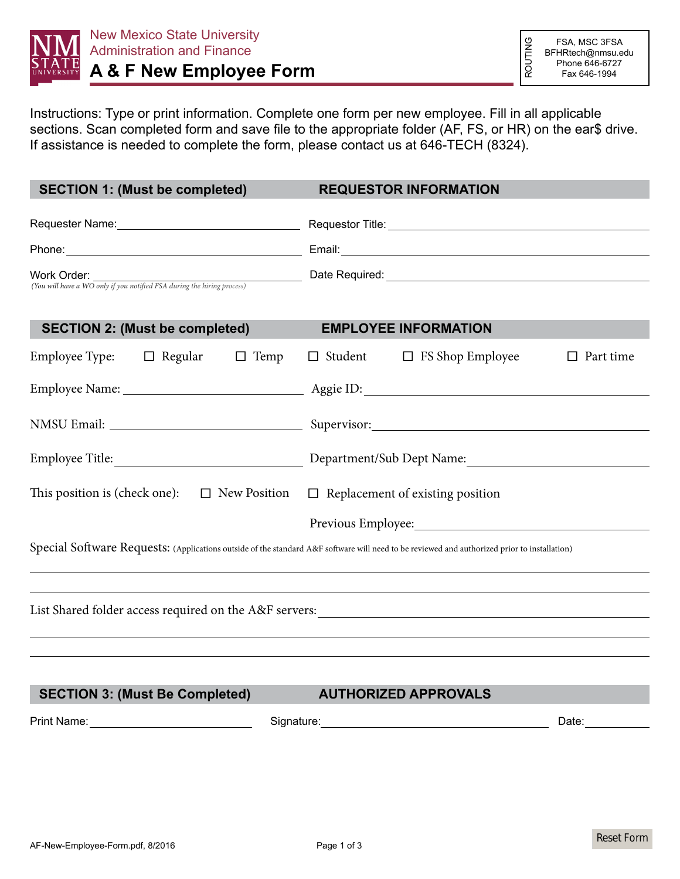

Instructions: Type or print information. Complete one form per new employee. Fill in all applicable sections. Scan completed form and save file to the appropriate folder (AF, FS, or HR) on the ear\$ drive. If assistance is needed to complete the form, please contact us at 646-TECH (8324).

| <b>SECTION 1: (Must be completed)</b>                                                                                                        | <b>REQUESTOR INFORMATION</b>                                                                                                                                                                                                              |
|----------------------------------------------------------------------------------------------------------------------------------------------|-------------------------------------------------------------------------------------------------------------------------------------------------------------------------------------------------------------------------------------------|
|                                                                                                                                              |                                                                                                                                                                                                                                           |
|                                                                                                                                              |                                                                                                                                                                                                                                           |
| Work Order:                                                                                                                                  | <b>VYOTK UTGET:</b> <u>Consequently from a set of the process of the hiring process of the consequent of the Required: Consequently from a set of the set of the hiring process) and the hiring process of the Required: Consequently</u> |
|                                                                                                                                              |                                                                                                                                                                                                                                           |
| <b>SECTION 2: (Must be completed)</b>                                                                                                        | <b>EMPLOYEE INFORMATION</b>                                                                                                                                                                                                               |
| Employee Type: $\Box$ Regular $\Box$ Temp $\Box$ Student $\Box$ FS Shop Employee                                                             | Part time<br>$\Box$                                                                                                                                                                                                                       |
|                                                                                                                                              |                                                                                                                                                                                                                                           |
|                                                                                                                                              |                                                                                                                                                                                                                                           |
|                                                                                                                                              |                                                                                                                                                                                                                                           |
| This position is (check one): $\Box$ New Position<br>$\Box$ Replacement of existing position                                                 |                                                                                                                                                                                                                                           |
|                                                                                                                                              | Previous Employee:                                                                                                                                                                                                                        |
| Special Software Requests: (Applications outside of the standard A&F software will need to be reviewed and authorized prior to installation) |                                                                                                                                                                                                                                           |
|                                                                                                                                              |                                                                                                                                                                                                                                           |
| List Shared folder access required on the A&F servers:                                                                                       |                                                                                                                                                                                                                                           |
|                                                                                                                                              |                                                                                                                                                                                                                                           |
|                                                                                                                                              |                                                                                                                                                                                                                                           |
| <b>SECTION 3: (Must Be Completed)</b>                                                                                                        | <b>AUTHORIZED APPROVALS</b>                                                                                                                                                                                                               |
| Print Name: Name: Name and Name and Name and Name and Name and Name and Name and Name and Name and Name and Na                               | Date: $\frac{1}{\sqrt{1-\frac{1}{2}}\cdot\frac{1}{2}}$                                                                                                                                                                                    |
|                                                                                                                                              |                                                                                                                                                                                                                                           |
|                                                                                                                                              |                                                                                                                                                                                                                                           |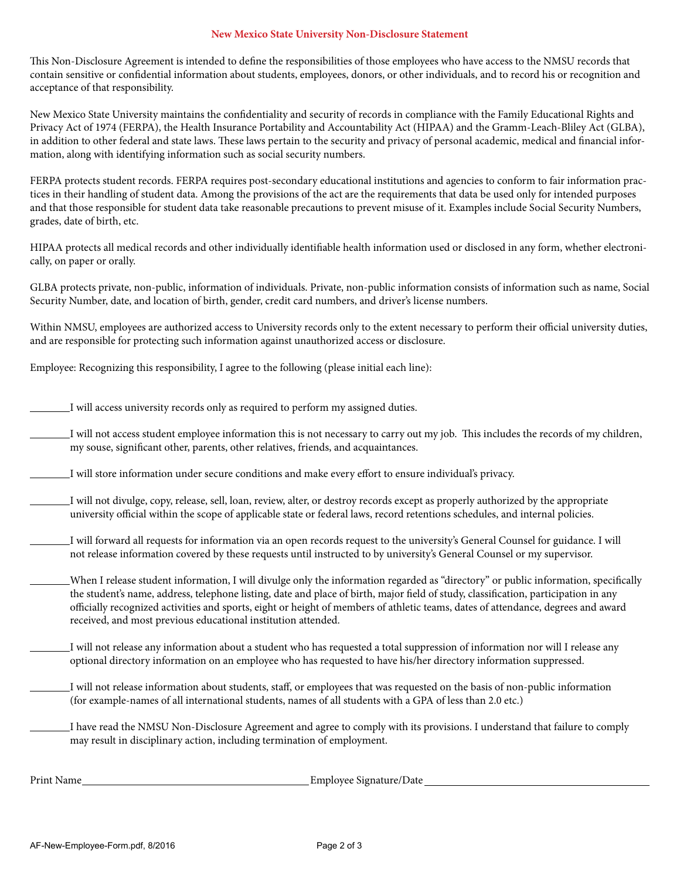## **New Mexico State University Non-Disclosure Statement**

This Non-Disclosure Agreement is intended to define the responsibilities of those employees who have access to the NMSU records that contain sensitive or confidential information about students, employees, donors, or other individuals, and to record his or recognition and acceptance of that responsibility.

New Mexico State University maintains the confidentiality and security of records in compliance with the Family Educational Rights and Privacy Act of 1974 (FERPA), the Health Insurance Portability and Accountability Act (HIPAA) and the Gramm-Leach-Bliley Act (GLBA), in addition to other federal and state laws. These laws pertain to the security and privacy of personal academic, medical and financial information, along with identifying information such as social security numbers.

FERPA protects student records. FERPA requires post-secondary educational institutions and agencies to conform to fair information practices in their handling of student data. Among the provisions of the act are the requirements that data be used only for intended purposes and that those responsible for student data take reasonable precautions to prevent misuse of it. Examples include Social Security Numbers, grades, date of birth, etc.

HIPAA protects all medical records and other individually identifiable health information used or disclosed in any form, whether electronically, on paper or orally.

GLBA protects private, non-public, information of individuals. Private, non-public information consists of information such as name, Social Security Number, date, and location of birth, gender, credit card numbers, and driver's license numbers.

Within NMSU, employees are authorized access to University records only to the extent necessary to perform their official university duties, and are responsible for protecting such information against unauthorized access or disclosure.

Employee: Recognizing this responsibility, I agree to the following (please initial each line):

I will access university records only as required to perform my assigned duties.

I will not access student employee information this is not necessary to carry out my job. This includes the records of my children, my souse, significant other, parents, other relatives, friends, and acquaintances.

- I will store information under secure conditions and make every effort to ensure individual's privacy.
- I will not divulge, copy, release, sell, loan, review, alter, or destroy records except as properly authorized by the appropriate university official within the scope of applicable state or federal laws, record retentions schedules, and internal policies.
- I will forward all requests for information via an open records request to the university's General Counsel for guidance. I will not release information covered by these requests until instructed to by university's General Counsel or my supervisor.
- When I release student information, I will divulge only the information regarded as "directory" or public information, specifically the student's name, address, telephone listing, date and place of birth, major field of study, classification, participation in any officially recognized activities and sports, eight or height of members of athletic teams, dates of attendance, degrees and award received, and most previous educational institution attended.
- I will not release any information about a student who has requested a total suppression of information nor will I release any optional directory information on an employee who has requested to have his/her directory information suppressed.
- I will not release information about students, staff, or employees that was requested on the basis of non-public information (for example-names of all international students, names of all students with a GPA of less than 2.0 etc.)
- I have read the NMSU Non-Disclosure Agreement and agree to comply with its provisions. I understand that failure to comply may result in disciplinary action, including termination of employment.

Print Name Employee Signature/Date